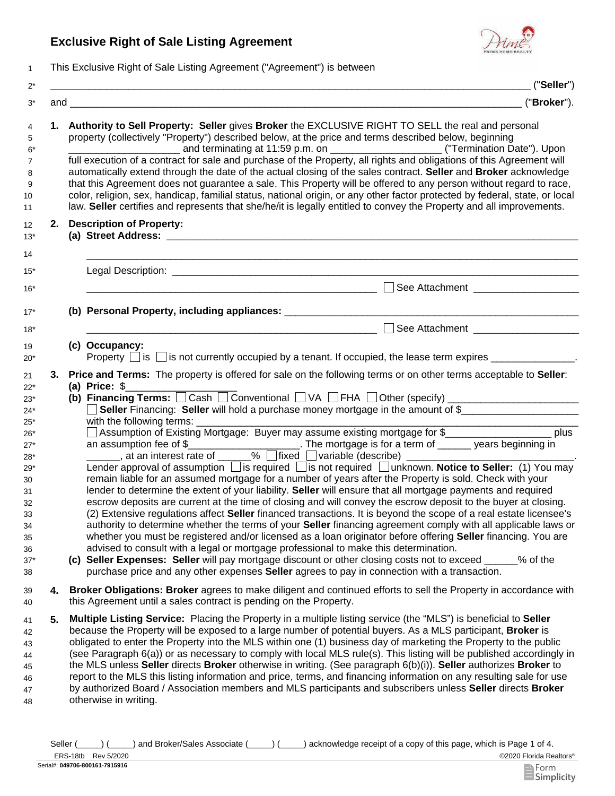## **Exclusive Right of Sale Listing Agreement**



1 This Exclusive Right of Sale Listing Agreement ("Agreement") is between

|    | ("Seller")                                                                                                                                                                                                                                                                                                                                                                                                                                                                                                                                                                                                                                                                                                                                                                                                                                                                                                                                                                                                                                                                                                                                                                                                                                                                                                                                                                                                                                                                                                                                                                                                                             |  |  |
|----|----------------------------------------------------------------------------------------------------------------------------------------------------------------------------------------------------------------------------------------------------------------------------------------------------------------------------------------------------------------------------------------------------------------------------------------------------------------------------------------------------------------------------------------------------------------------------------------------------------------------------------------------------------------------------------------------------------------------------------------------------------------------------------------------------------------------------------------------------------------------------------------------------------------------------------------------------------------------------------------------------------------------------------------------------------------------------------------------------------------------------------------------------------------------------------------------------------------------------------------------------------------------------------------------------------------------------------------------------------------------------------------------------------------------------------------------------------------------------------------------------------------------------------------------------------------------------------------------------------------------------------------|--|--|
|    | ("Broker").                                                                                                                                                                                                                                                                                                                                                                                                                                                                                                                                                                                                                                                                                                                                                                                                                                                                                                                                                                                                                                                                                                                                                                                                                                                                                                                                                                                                                                                                                                                                                                                                                            |  |  |
|    | 1. Authority to Sell Property: Seller gives Broker the EXCLUSIVE RIGHT TO SELL the real and personal<br>property (collectively "Property") described below, at the price and terms described below, beginning<br>full execution of a contract for sale and purchase of the Property, all rights and obligations of this Agreement will<br>automatically extend through the date of the actual closing of the sales contract. Seller and Broker acknowledge<br>that this Agreement does not guarantee a sale. This Property will be offered to any person without regard to race,<br>color, religion, sex, handicap, familial status, national origin, or any other factor protected by federal, state, or local<br>law. Seller certifies and represents that she/he/it is legally entitled to convey the Property and all improvements.                                                                                                                                                                                                                                                                                                                                                                                                                                                                                                                                                                                                                                                                                                                                                                                                |  |  |
|    | 2. Description of Property:                                                                                                                                                                                                                                                                                                                                                                                                                                                                                                                                                                                                                                                                                                                                                                                                                                                                                                                                                                                                                                                                                                                                                                                                                                                                                                                                                                                                                                                                                                                                                                                                            |  |  |
|    |                                                                                                                                                                                                                                                                                                                                                                                                                                                                                                                                                                                                                                                                                                                                                                                                                                                                                                                                                                                                                                                                                                                                                                                                                                                                                                                                                                                                                                                                                                                                                                                                                                        |  |  |
|    | $\Box$<br>See Attachment _____________________                                                                                                                                                                                                                                                                                                                                                                                                                                                                                                                                                                                                                                                                                                                                                                                                                                                                                                                                                                                                                                                                                                                                                                                                                                                                                                                                                                                                                                                                                                                                                                                         |  |  |
|    |                                                                                                                                                                                                                                                                                                                                                                                                                                                                                                                                                                                                                                                                                                                                                                                                                                                                                                                                                                                                                                                                                                                                                                                                                                                                                                                                                                                                                                                                                                                                                                                                                                        |  |  |
|    | See Attachment ____________________<br><u> 1980 - Jan James James Barnett, fransk politik (d. 1980)</u>                                                                                                                                                                                                                                                                                                                                                                                                                                                                                                                                                                                                                                                                                                                                                                                                                                                                                                                                                                                                                                                                                                                                                                                                                                                                                                                                                                                                                                                                                                                                |  |  |
|    | (c) Occupancy:<br>Property $\Box$ is $\Box$ is not currently occupied by a tenant. If occupied, the lease term expires $\Box$                                                                                                                                                                                                                                                                                                                                                                                                                                                                                                                                                                                                                                                                                                                                                                                                                                                                                                                                                                                                                                                                                                                                                                                                                                                                                                                                                                                                                                                                                                          |  |  |
| 3. | Price and Terms: The property is offered for sale on the following terms or on other terms acceptable to Seller:<br>(a) Price: $$$<br>(b) Financing Terms: $\Box$ Cash $\Box$ Conventional $\Box$ VA $\Box$ FHA $\Box$ Other (specify) $\Box$ $\Box$ $\Box$ $\Box$ $\Box$ $\Box$<br>Seller Financing: Seller will hold a purchase money mortgage in the amount of \$<br>□ Assumption of Existing Mortgage: Buyer may assume existing mortgage for \$______________________ plus<br>Lender approval of assumption <i>is</i> required <i>i</i> s not required <i>i</i> unknown. Notice to Seller: (1) You may<br>remain liable for an assumed mortgage for a number of years after the Property is sold. Check with your<br>lender to determine the extent of your liability. Seller will ensure that all mortgage payments and required<br>escrow deposits are current at the time of closing and will convey the escrow deposit to the buyer at closing.<br>(2) Extensive regulations affect Seller financed transactions. It is beyond the scope of a real estate licensee's<br>authority to determine whether the terms of your Seller financing agreement comply with all applicable laws or<br>whether you must be registered and/or licensed as a loan originator before offering <b>Seller</b> financing. You are<br>advised to consult with a legal or mortgage professional to make this determination.<br>(c) Seller Expenses: Seller will pay mortgage discount or other closing costs not to exceed ____<br>% of the<br>purchase price and any other expenses <b>Seller</b> agrees to pay in connection with a transaction. |  |  |
| 4. | Broker Obligations: Broker agrees to make diligent and continued efforts to sell the Property in accordance with<br>this Agreement until a sales contract is pending on the Property.                                                                                                                                                                                                                                                                                                                                                                                                                                                                                                                                                                                                                                                                                                                                                                                                                                                                                                                                                                                                                                                                                                                                                                                                                                                                                                                                                                                                                                                  |  |  |
| 5. | Multiple Listing Service: Placing the Property in a multiple listing service (the "MLS") is beneficial to Seller<br>because the Property will be exposed to a large number of potential buyers. As a MLS participant, <b>Broker</b> is<br>obligated to enter the Property into the MLS within one (1) business day of marketing the Property to the public<br>(see Paragraph 6(a)) or as necessary to comply with local MLS rule(s). This listing will be published accordingly in<br>the MLS unless Seller directs Broker otherwise in writing. (See paragraph 6(b)(i)). Seller authorizes Broker to<br>report to the MLS this listing information and price, terms, and financing information on any resulting sale for use<br>by authorized Board / Association members and MLS participants and subscribers unless Seller directs Broker<br>otherwise in writing.                                                                                                                                                                                                                                                                                                                                                                                                                                                                                                                                                                                                                                                                                                                                                                  |  |  |

©2020 Florida Realtors® ERS-18tb Rev 5/2020 Seller (\_\_\_\_) (\_\_\_\_) and Broker/Sales Associate (\_\_\_\_) (\_\_\_\_) acknowledge receipt of a copy of this page, which is Page 1 of 4.

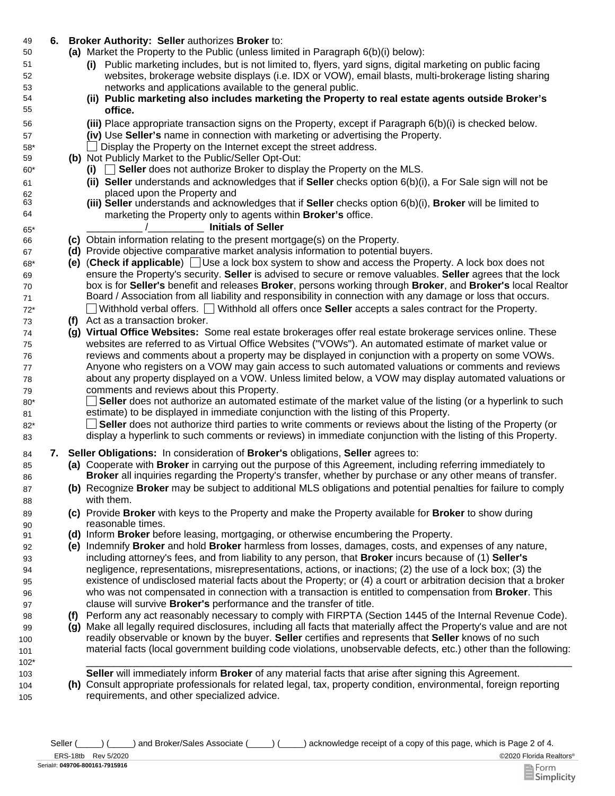## 49 **6. Broker Authority: Seller** authorizes **Broker** to:

- Market the Property to the Public (unless limited in Paragraph 6(b)(i) below): **(a)**
	- **(i)** Public marketing includes, but is not limited to, flyers, yard signs, digital marketing on public facing websites, brokerage website displays (i.e. IDX or VOW), email blasts, multi-brokerage listing sharing networks and applications available to the general public.
	- **(ii) Public marketing also includes marketing the Property to real estate agents outside Broker's office.**
	- Place appropriate transaction signs on the Property, except if Paragraph 6(b)(i) is checked below. **(iii)**
	- **(iv)** Use **Seller's** name in connection with marketing or advertising the Property.
	- \_\_ Display the Property on the Internet except the street address.
- **(b)** Not Publicly Market to the Public/Seller Opt-Out:
	- **(i)** \_\_ **Seller** does not authorize Broker to display the Property on the MLS.
	- **(ii) Seller** understands and acknowledges that if **Seller** checks option 6(b)(i), a For Sale sign will not be placed upon the Property and
	- **(iii) Seller** understands and acknowledges that if **Seller** checks option 6(b)(i), **Broker** will be limited to marketing the Property only to agents within **Broker's** office.

## \_\_\_\_\_\_\_\_\_\_ /\_\_\_\_\_\_\_\_\_\_ **Initials of Seller**

- 66 **(c)** Obtain information relating to the present mortgage(s) on the Property.
- 67 **(d)** Provide objective comparative market analysis information to potential buyers.
- 68\* **(e)** (**Check if applicable**) Use a lock box system to show and access the Property. A lock box does not ensure the Property's security. **Seller** is advised to secure or remove valuables. **Seller** agrees that the lock box is for **Seller's** benefit and releases **Broker**, persons working through **Broker**, and **Broker's** local Realtor Board / Association from all liability and responsibility in connection with any damage or loss that occurs. 72\* Withhold verbal offers. Withhold all offers once **Seller** accepts a sales contract for the Property.
- 73 **(f)** Act as a transaction broker.

69 70 71

50

51 52 53

80\* 81

85 86

87 88

89 90

99 100 101

104 105

- 74 **(g) Virtual Office Websites:** Some real estate brokerages offer real estate brokerage services online. These websites are referred to as Virtual Office Websites ("VOWs"). An automated estimate of market value or reviews and comments about a property may be displayed in conjunction with a property on some VOWs. Anyone who registers on a VOW may gain access to such automated valuations or comments and reviews about any property displayed on a VOW. Unless limited below, a VOW may display automated valuations or comments and reviews about this Property.
	- $\mathbf{L}$ **Seller** does not authorize an automated estimate of the market value of the listing (or a hyperlink to such estimate) to be displayed in immediate conjunction with the listing of this Property.
- **Seller** does not authorize third parties to write comments or reviews about the listing of the Property (or display a hyperlink to such comments or reviews) in immediate conjunction with the listing of this Property. 82\* 83
- 84 **7. Seller Obligations:** In consideration of **Broker's** obligations, **Seller** agrees to:
	- **(a)** Cooperate with **Broker** in carrying out the purpose of this Agreement, including referring immediately to **Broker** all inquiries regarding the Property's transfer, whether by purchase or any other means of transfer.
	- **(b)** Recognize **Broker** may be subject to additional MLS obligations and potential penalties for failure to comply with them.
	- **(c)** Provide **Broker** with keys to the Property and make the Property available for **Broker** to show during reasonable times.
- 91 **(d)** Inform **Broker** before leasing, mortgaging, or otherwise encumbering the Property.
	- **(e)** Indemnify **Broker** and hold **Broker** harmless from losses, damages, costs, and expenses of any nature, including attorney's fees, and from liability to any person, that **Broker** incurs because of (1) **Seller's**  negligence, representations, misrepresentations, actions, or inactions; (2) the use of a lock box; (3) the existence of undisclosed material facts about the Property; or (4) a court or arbitration decision that a broker who was not compensated in connection with a transaction is entitled to compensation from **Broker**. This clause will survive **Broker's** performance and the transfer of title.
- 98 **(f)** Perform any act reasonably necessary to comply with FIRPTA (Section 1445 of the Internal Revenue Code).
	- **(g)** Make all legally required disclosures, including all facts that materially affect the Property's value and are not readily observable or known by the buyer. **Seller** certifies and represents that **Seller** knows of no such material facts (local government building code violations, unobservable defects, etc.) other than the following:
- 102\* \_\_\_\_\_\_\_\_\_\_\_\_\_\_\_\_\_\_\_\_\_\_\_\_\_\_\_\_\_\_\_\_\_\_\_\_\_\_\_\_\_\_\_\_\_\_\_\_\_\_\_\_\_\_\_\_\_\_\_\_\_\_\_\_\_\_\_\_\_\_\_\_\_\_\_\_\_\_\_\_\_\_\_\_\_\_\_ 103 **Seller** will immediately inform **Broker** of any material facts that arise after signing this Agreement.
	- **(h)** Consult appropriate professionals for related legal, tax, property condition, environmental, foreign reporting requirements, and other specialized advice.

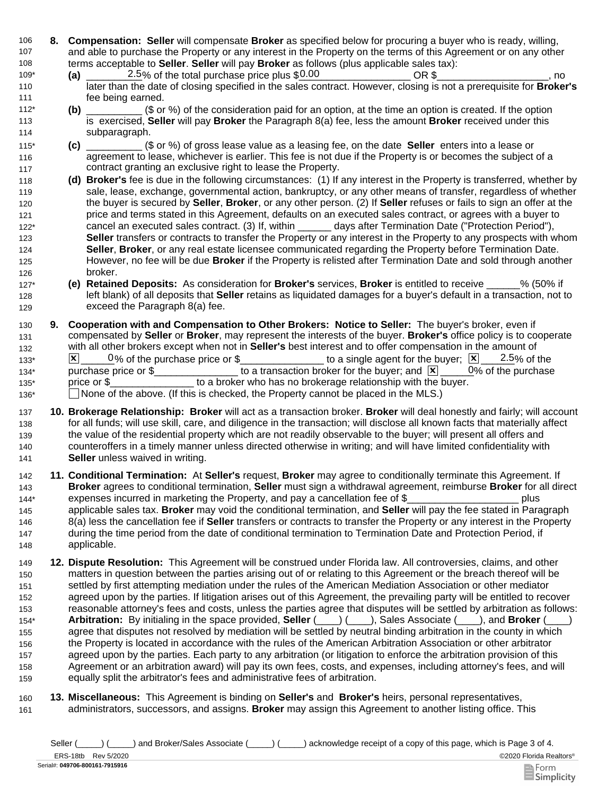- 106 **8. Compensation: Seller** will compensate **Broker** as specified below for procuring a buyer who is ready, willing, 107 108 and able to purchase the Property or any interest in the Property on the terms of this Agreement or on any other terms acceptable to **Seller**. **Seller** will pay **Broker** as follows (plus applicable sales tax):
- $\frac{2.5}{%}$  of the total purchase price plus  $$0.00$   $\degree$  OR \$ $\degree$  \_\_\_\_\_\_\_\_\_\_\_\_\_\_\_\_, no later than the date of closing specified in the sales contract. However, closing is not a prerequisite for **Broker's** fee being earned. 109\* **(a)**  110 111
- **(b)** \_\_\_\_\_\_\_\_\_\_ (\$ or %) of the consideration paid for an option, at the time an option is created. If the option is exercised, **Seller** will pay **Broker** the Paragraph 8(a) fee, less the amount **Broker** received under this subparagraph. 112\* 113 114
- **(c)** \_\_\_\_\_\_\_\_\_\_ (\$ or %) of gross lease value as a leasing fee, on the date **Seller** enters into a lease or agreement to lease, whichever is earlier. This fee is not due if the Property is or becomes the subject of a contract granting an exclusive right to lease the Property. 115\* 116 117
- 118 **(d) Broker's** fee is due in the following circumstances: (1) If any interest in the Property is transferred, whether by 119 120 121 122\* 123 124 125 126 sale, lease, exchange, governmental action, bankruptcy, or any other means of transfer, regardless of whether the buyer is secured by **Seller**, **Broker**, or any other person. (2) If **Seller** refuses or fails to sign an offer at the price and terms stated in this Agreement, defaults on an executed sales contract, or agrees with a buyer to cancel an executed sales contract. (3) If, within \_\_\_\_\_\_ days after Termination Date ("Protection Period"), **Seller** transfers or contracts to transfer the Property or any interest in the Property to any prospects with whom **Seller**, **Broker**, or any real estate licensee communicated regarding the Property before Termination Date. However, no fee will be due **Broker** if the Property is relisted after Termination Date and sold through another broker.
- 127\* **(e) Retained Deposits:** As consideration for **Broker's** services, **Broker** is entitled to receive \_\_\_\_\_\_% (50% if 128 129 left blank) of all deposits that **Seller** retains as liquidated damages for a buyer's default in a transaction, not to exceed the Paragraph 8(a) fee.
- 130 **9.**  131 132  $133^*$   $\times$   $\boxed{\times}$  0% of the purchase price or \$\_\_\_\_\_\_\_\_\_\_\_\_\_\_\_\_\_ to a single agent for the buyer;  $\boxed{\times}$   $\boxed{2.5}$ % of the 134\* purchase price or \$\_\_\_\_\_\_\_\_\_\_\_\_\_\_\_\_\_ to a transaction broker for the buyer; and  $\boxed{\mathbf{X}}$  \_\_\_\_\_0% of the purchase 135\* price or \$\_\_\_\_\_\_\_\_\_\_\_\_\_\_\_\_\_ to a broker who has no brokerage relationship with the buyer. 136\* 
None of the above. (If this is checked, the Property cannot be placed in the MLS.) **Cooperation with and Compensation to Other Brokers: Notice to Seller:** The buyer's broker, even if compensated by **Seller** or **Broker**, may represent the interests of the buyer. **Broker's** office policy is to cooperate with all other brokers except when not in **Seller's** best interest and to offer compensation in the amount of  $0\%$  of the purchase
- 137 **10. Brokerage Relationship: Broker** will act as a transaction broker. **Broker** will deal honestly and fairly; will account 138 139 140 141 for all funds; will use skill, care, and diligence in the transaction; will disclose all known facts that materially affect the value of the residential property which are not readily observable to the buyer; will present all offers and counteroffers in a timely manner unless directed otherwise in writing; and will have limited confidentiality with **Seller** unless waived in writing.
- 142 **11. Conditional Termination:** At **Seller's** request, **Broker** may agree to conditionally terminate this Agreement. If 143 144\* **Broker** agrees to conditional termination, **Seller** must sign a withdrawal agreement, reimburse **Broker** for all direct expenses incurred in marketing the Property, and pay a cancellation fee of \$ plus
- 145 146 147 148 applicable sales tax. **Broker** may void the conditional termination, and **Seller** will pay the fee stated in Paragraph 8(a) less the cancellation fee if **Seller** transfers or contracts to transfer the Property or any interest in the Property during the time period from the date of conditional termination to Termination Date and Protection Period, if applicable.
- 149 **12. Dispute Resolution:** This Agreement will be construed under Florida law. All controversies, claims, and other 150 151 152 153 154\* 155 156 157 158 159 matters in question between the parties arising out of or relating to this Agreement or the breach thereof will be settled by first attempting mediation under the rules of the American Mediation Association or other mediator agreed upon by the parties. If litigation arises out of this Agreement, the prevailing party will be entitled to recover reasonable attorney's fees and costs, unless the parties agree that disputes will be settled by arbitration as follows: **Arbitration:** By initialing in the space provided, **Seller** (\_\_\_\_) (\_\_\_\_), Sales Associate (\_\_\_\_), and **Broker** (\_\_\_\_) agree that disputes not resolved by mediation will be settled by neutral binding arbitration in the county in which the Property is located in accordance with the rules of the American Arbitration Association or other arbitrator agreed upon by the parties. Each party to any arbitration (or litigation to enforce the arbitration provision of this Agreement or an arbitration award) will pay its own fees, costs, and expenses, including attorney's fees, and will equally split the arbitrator's fees and administrative fees of arbitration.
- 161 160 **Miscellaneous:** This Agreement is binding on **Seller's** and **Broker's** heirs, personal representatives, **13.**administrators, successors, and assigns. **Broker** may assign this Agreement to another listing office. This